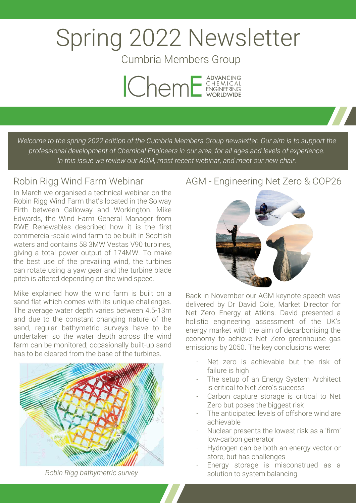# Spring 2022 Newsletter

Cumbria Members Group



*Welcome to the spring 2022 edition of the Cumbria Members Group newsletter. Our aim is to support the professional development of Chemical Engineers in our area, for all ages and levels of experience. In this issue we review our AGM, most recent webinar, and meet our new chair.*

## Robin Rigg Wind Farm Webinar

In March we organised a technical webinar on the Robin Rigg Wind Farm that's located in the Solway Firth between Galloway and Workington. Mike Edwards, the Wind Farm General Manager from RWE Renewables described how it is the first commercial-scale wind farm to be built in Scottish waters and contains 58 3MW Vestas V90 turbines, giving a total power output of 174MW. To make the best use of the prevailing wind, the turbines can rotate using a yaw gear and the turbine blade pitch is altered depending on the wind speed.

Mike explained how the wind farm is built on a sand flat which comes with its unique challenges. The average water depth varies between 4.5-13m and due to the constant changing nature of the sand, regular bathymetric surveys have to be undertaken so the water depth across the wind farm can be monitored; occasionally built-up sand has to be cleared from the base of the turbines.



*Robin Rigg bathymetric survey*

## AGM - Engineering Net Zero & COP26



Back in November our AGM keynote speech was delivered by Dr David Cole, Market Director for Net Zero Energy at Atkins. David presented a holistic engineering assessment of the UK's energy market with the aim of decarbonising the economy to achieve Net Zero greenhouse gas emissions by 2050. The key conclusions were:

- Net zero is achievable but the risk of failure is high
- The setup of an Energy System Architect is critical to Net Zero's success
- Carbon capture storage is critical to Net Zero but poses the biggest risk
- The anticipated levels of offshore wind are achievable
- Nuclear presents the lowest risk as a 'firm' low-carbon generator
- Hydrogen can be both an energy vector or store, but has challenges
- Energy storage is misconstrued as a solution to system balancing